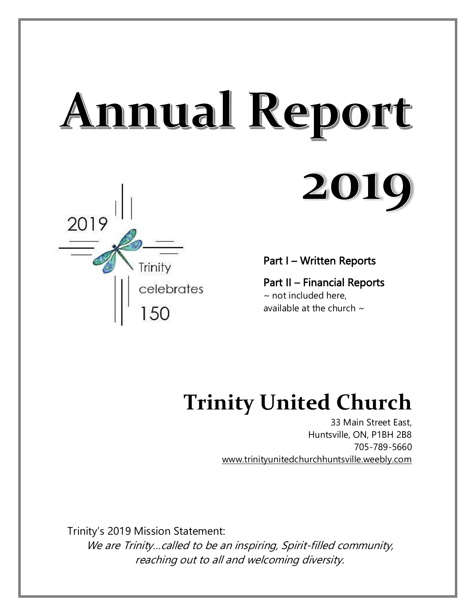# Annual Report **2010**



Part I – Written Reports

Part II – Financial Reports  $\sim$  not included here, available at the church  $\sim$ 

# **Trinity United Church**

33 Main Street East, Huntsville, ON, P1BH 2B8 705-789-5660 [www.trinityunitedchurchhuntsville.weebly.com](http://www.trinityunitedchurchhuntsville.weebly.com/)

Trinity's 2019 Mission Statement:

We are Trinity... called to be an inspiring, Spirit-filled community, reaching out to all and welcoming diversity.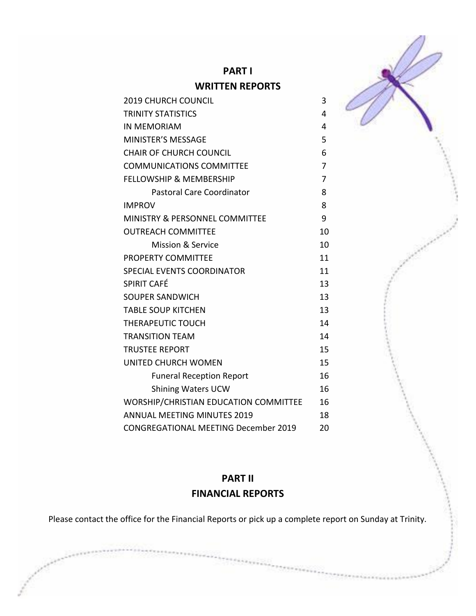

# **PART II FINANCIAL REPORTS**

Please contact the office for the Financial Reports or pick up a complete report on Sunday at Trinity.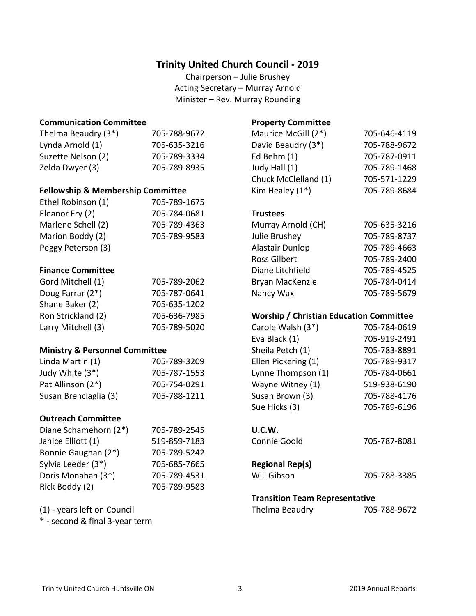### **Trinity United Church Council - 2019**

Chairperson – Julie Brushey Acting Secretary – Murray Arnold Minister – Rev. Murray Rounding

### **Communication Committee**

| Thelma Beaudry (3*) | 705-788-9672 |
|---------------------|--------------|
| Lynda Arnold (1)    | 705-635-3216 |
| Suzette Nelson (2)  | 705-789-3334 |
| Zelda Dwyer (3)     | 705-789-8935 |

### **Fellowship & Membership Committee**

| Ethel Robinson (1) | 705-789-1675 |
|--------------------|--------------|
| Eleanor Fry (2)    | 705-784-0681 |
| Marlene Schell (2) | 705-789-4363 |
| Marion Boddy (2)   | 705-789-9583 |
| Peggy Peterson (3) |              |

### **Finance Committee**

| Gord Mitchell (1)  | 705-789-2062 |
|--------------------|--------------|
| Doug Farrar (2*)   | 705-787-0641 |
| Shane Baker (2)    | 705-635-1202 |
| Ron Strickland (2) | 705-636-7985 |
| Larry Mitchell (3) | 705-789-5020 |

### **Ministry & Personnel Committee**

| Linda Martin (1)      | 705-789-3209 |
|-----------------------|--------------|
| Judy White (3*)       | 705-787-1553 |
| Pat Allinson (2*)     | 705-754-0291 |
| Susan Brenciaglia (3) | 705-788-1211 |

### **Outreach Committee**

| Diane Schamehorn (2*) | 705-789-2545 |
|-----------------------|--------------|
| Janice Elliott (1)    | 519-859-7183 |
| Bonnie Gaughan (2*)   | 705-789-5242 |
| Sylvia Leeder (3*)    | 705-685-7665 |
| Doris Monahan (3*)    | 705-789-4531 |
| Rick Boddy (2)        | 705-789-9583 |

(1) - years left on Council

\* - second & final 3-year term

### **Property Committee**

| Maurice McGill (2*)  | 705-646-4119 |
|----------------------|--------------|
| David Beaudry (3*)   | 705-788-9672 |
| Ed Behm (1)          | 705-787-0911 |
| Judy Hall (1)        | 705-789-1468 |
| Chuck McClelland (1) | 705-571-1229 |
| Kim Healey $(1^*)$   | 705-789-8684 |

### **Trustees**

| Murray Arnold (CH)  | 705-635-3216 |
|---------------------|--------------|
| Julie Brushey       | 705-789-8737 |
| Alastair Dunlop     | 705-789-4663 |
| <b>Ross Gilbert</b> | 705-789-2400 |
| Diane Litchfield    | 705-789-4525 |
| Bryan MacKenzie     | 705-784-0414 |
| Nancy Waxl          | 705-789-5679 |

### **Worship / Christian Education Committee**

| Carole Walsh (3*)   | 705-784-0619 |
|---------------------|--------------|
| Eva Black (1)       | 705-919-2491 |
| Sheila Petch (1)    | 705-783-8891 |
| Ellen Pickering (1) | 705-789-9317 |
| Lynne Thompson (1)  | 705-784-0661 |
| Wayne Witney (1)    | 519-938-6190 |
| Susan Brown (3)     | 705-788-4176 |
| Sue Hicks (3)       | 705-789-6196 |
|                     |              |

### **U.C.W.**

| Connie Goold | 705-787-8081 |
|--------------|--------------|
|              |              |

### **Regional Rep(s)**

| Will Gibson | 705-788-3385 |
|-------------|--------------|
|             |              |

### **Transition Team Representative**

Thelma Beaudry 705-788-9672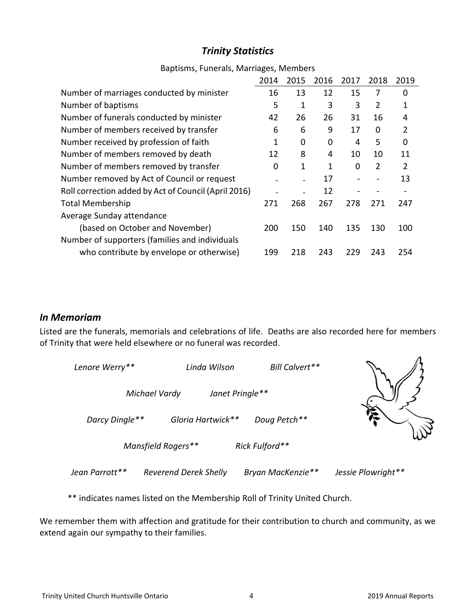# *Trinity Statistics*

|                                                      | 2014 | 2015 | 2016 | 2017 | 2018     | 2019           |
|------------------------------------------------------|------|------|------|------|----------|----------------|
| Number of marriages conducted by minister            | 16   | 13   | 12   | 15   | 7        | 0              |
| Number of baptisms                                   | 5    | 1    | 3    | 3    | 2        | 1              |
| Number of funerals conducted by minister             | 42   | 26   | 26   | 31   | 16       | 4              |
| Number of members received by transfer               | 6    | 6    | 9    | 17   | $\Omega$ | $\overline{2}$ |
| Number received by profession of faith               | 1    | 0    | 0    | 4    | 5        | 0              |
| Number of members removed by death                   | 12   | 8    | 4    | 10   | 10       | 11             |
| Number of members removed by transfer                | 0    | 1    | 1    | 0    | 2        | $\overline{2}$ |
| Number removed by Act of Council or request          |      |      | 17   |      |          | 13             |
| Roll correction added by Act of Council (April 2016) |      |      | 12   |      |          |                |
| <b>Total Membership</b>                              | 271  | 268  | 267  | 278  | 271      | 247            |
| Average Sunday attendance                            |      |      |      |      |          |                |
| (based on October and November)                      | 200  | 150  | 140  | 135  | 130      | 100            |
| Number of supporters (families and individuals       |      |      |      |      |          |                |
| who contribute by envelope or otherwise)             | 199  | 218  | 243  | 229  | 243      | 254            |

### Baptisms, Funerals, Marriages, Members

### *In Memoriam*

Listed are the funerals, memorials and celebrations of life. Deaths are also recorded here for members of Trinity that were held elsewhere or no funeral was recorded.

| Lenore Werry** | Linda Wilson                 | Bill Calvert**    |                    |
|----------------|------------------------------|-------------------|--------------------|
|                | Michael Vardy                | Janet Pringle**   |                    |
| Darcy Dingle** | Gloria Hartwick**            | Doug Petch**      |                    |
|                | Mansfield Rogers**           | Rick Fulford**    |                    |
| Jean Parrott** | <b>Reverend Derek Shelly</b> | Bryan MacKenzie** | Jessie Plowright** |

\*\* indicates names listed on the Membership Roll of Trinity United Church.

We remember them with affection and gratitude for their contribution to church and community, as we extend again our sympathy to their families.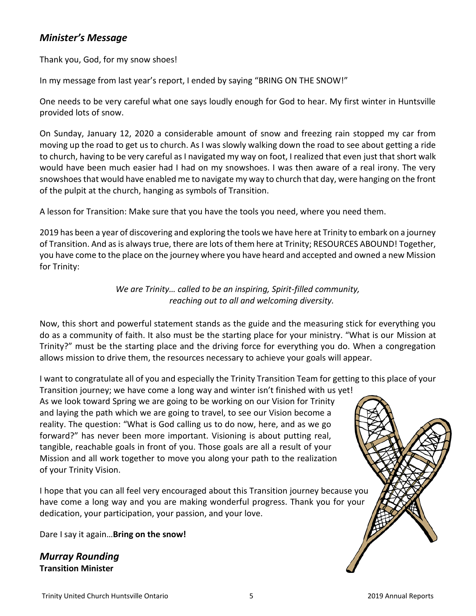### *Minister's Message*

Thank you, God, for my snow shoes!

In my message from last year's report, I ended by saying "BRING ON THE SNOW!"

One needs to be very careful what one says loudly enough for God to hear. My first winter in Huntsville provided lots of snow.

On Sunday, January 12, 2020 a considerable amount of snow and freezing rain stopped my car from moving up the road to get us to church. As I was slowly walking down the road to see about getting a ride to church, having to be very careful as I navigated my way on foot, I realized that even just that short walk would have been much easier had I had on my snowshoes. I was then aware of a real irony. The very snowshoes that would have enabled me to navigate my way to church that day, were hanging on the front of the pulpit at the church, hanging as symbols of Transition.

A lesson for Transition: Make sure that you have the tools you need, where you need them.

2019 has been a year of discovering and exploring the tools we have here at Trinity to embark on a journey of Transition. And as is always true, there are lots of them here at Trinity; RESOURCES ABOUND! Together, you have come to the place on the journey where you have heard and accepted and owned a new Mission for Trinity:

> *We are Trinity… called to be an inspiring, Spirit-filled community, reaching out to all and welcoming diversity.*

Now, this short and powerful statement stands as the guide and the measuring stick for everything you do as a community of faith. It also must be the starting place for your ministry. "What is our Mission at Trinity?" must be the starting place and the driving force for everything you do. When a congregation allows mission to drive them, the resources necessary to achieve your goals will appear.

I want to congratulate all of you and especially the Trinity Transition Team for getting to this place of your Transition journey; we have come a long way and winter isn't finished with us yet!

As we look toward Spring we are going to be working on our Vision for Trinity and laying the path which we are going to travel, to see our Vision become a reality. The question: "What is God calling us to do now, here, and as we go forward?" has never been more important. Visioning is about putting real, tangible, reachable goals in front of you. Those goals are all a result of your Mission and all work together to move you along your path to the realization of your Trinity Vision.

I hope that you can all feel very encouraged about this Transition journey because you have come a long way and you are making wonderful progress. Thank you for your dedication, your participation, your passion, and your love.

Dare I say it again…**Bring on the snow!**

*Murray Rounding* **Transition Minister**

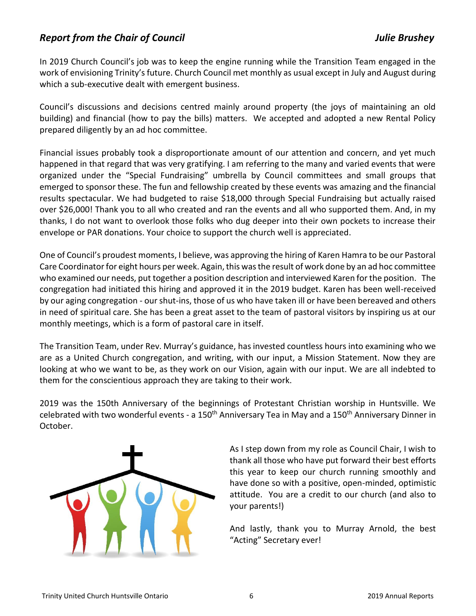### *Report from the Chair of Council Julie Brushey*

In 2019 Church Council's job was to keep the engine running while the Transition Team engaged in the work of envisioning Trinity's future. Church Council met monthly as usual except in July and August during which a sub-executive dealt with emergent business.

Council's discussions and decisions centred mainly around property (the joys of maintaining an old building) and financial (how to pay the bills) matters. We accepted and adopted a new Rental Policy prepared diligently by an ad hoc committee.

Financial issues probably took a disproportionate amount of our attention and concern, and yet much happened in that regard that was very gratifying. I am referring to the many and varied events that were organized under the "Special Fundraising" umbrella by Council committees and small groups that emerged to sponsor these. The fun and fellowship created by these events was amazing and the financial results spectacular. We had budgeted to raise \$18,000 through Special Fundraising but actually raised over \$26,000! Thank you to all who created and ran the events and all who supported them. And, in my thanks, I do not want to overlook those folks who dug deeper into their own pockets to increase their envelope or PAR donations. Your choice to support the church well is appreciated.

One of Council's proudest moments, I believe, was approving the hiring of Karen Hamra to be our Pastoral Care Coordinator for eight hours per week. Again, this was the result of work done by an ad hoc committee who examined our needs, put together a position description and interviewed Karen for the position. The congregation had initiated this hiring and approved it in the 2019 budget. Karen has been well-received by our aging congregation - our shut-ins, those of us who have taken ill or have been bereaved and others in need of spiritual care. She has been a great asset to the team of pastoral visitors by inspiring us at our monthly meetings, which is a form of pastoral care in itself.

The Transition Team, under Rev. Murray's guidance, has invested countless hours into examining who we are as a United Church congregation, and writing, with our input, a Mission Statement. Now they are looking at who we want to be, as they work on our Vision, again with our input. We are all indebted to them for the conscientious approach they are taking to their work.

2019 was the 150th Anniversary of the beginnings of Protestant Christian worship in Huntsville. We celebrated with two wonderful events - a 150<sup>th</sup> Anniversary Tea in May and a 150<sup>th</sup> Anniversary Dinner in October.



As I step down from my role as Council Chair, I wish to thank all those who have put forward their best efforts this year to keep our church running smoothly and have done so with a positive, open-minded, optimistic attitude. You are a credit to our church (and also to your parents!)

And lastly, thank you to Murray Arnold, the best "Acting" Secretary ever!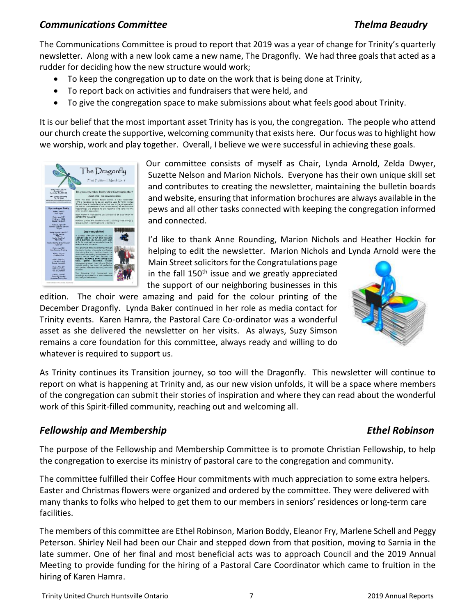### *Communications Committee Thelma Beaudry*

The Communications Committee is proud to report that 2019 was a year of change for Trinity's quarterly newsletter. Along with a new look came a new name, The Dragonfly. We had three goals that acted as a rudder for deciding how the new structure would work;

- To keep the congregation up to date on the work that is being done at Trinity,
- To report back on activities and fundraisers that were held, and
- To give the congregation space to make submissions about what feels good about Trinity.

It is our belief that the most important asset Trinity has is you, the congregation. The people who attend our church create the supportive, welcoming community that exists here. Our focus was to highlight how we worship, work and play together. Overall, I believe we were successful in achieving these goals.



Our committee consists of myself as Chair, Lynda Arnold, Zelda Dwyer, Suzette Nelson and Marion Nichols. Everyone has their own unique skill set and contributes to creating the newsletter, maintaining the bulletin boards and website, ensuring that information brochures are always available in the pews and all other tasks connected with keeping the congregation informed and connected.

I'd like to thank Anne Rounding, Marion Nichols and Heather Hockin for helping to edit the newsletter. Marion Nichols and Lynda Arnold were the

Main Street solicitors for the Congratulations page in the fall  $150<sup>th</sup>$  issue and we greatly appreciated the support of our neighboring businesses in this

edition. The choir were amazing and paid for the colour printing of the December Dragonfly. Lynda Baker continued in her role as media contact for Trinity events. Karen Hamra, the Pastoral Care Co-ordinator was a wonderful asset as she delivered the newsletter on her visits. As always, Suzy Simson remains a core foundation for this committee, always ready and willing to do whatever is required to support us.



As Trinity continues its Transition journey, so too will the Dragonfly. This newsletter will continue to report on what is happening at Trinity and, as our new vision unfolds, it will be a space where members of the congregation can submit their stories of inspiration and where they can read about the wonderful work of this Spirit-filled community, reaching out and welcoming all.

### **Fellowship and Membership Ethel Robinson**

The purpose of the Fellowship and Membership Committee is to promote Christian Fellowship, to help the congregation to exercise its ministry of pastoral care to the congregation and community.

The committee fulfilled their Coffee Hour commitments with much appreciation to some extra helpers. Easter and Christmas flowers were organized and ordered by the committee. They were delivered with many thanks to folks who helped to get them to our members in seniors' residences or long-term care facilities.

The members of this committee are Ethel Robinson, Marion Boddy, Eleanor Fry, Marlene Schell and Peggy Peterson. Shirley Neil had been our Chair and stepped down from that position, moving to Sarnia in the late summer. One of her final and most beneficial acts was to approach Council and the 2019 Annual Meeting to provide funding for the hiring of a Pastoral Care Coordinator which came to fruition in the hiring of Karen Hamra.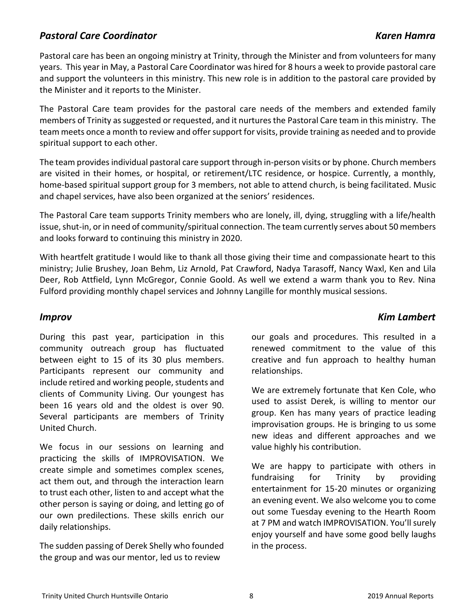### *Pastoral Care Coordinator Karen Hamra*

Pastoral care has been an ongoing ministry at Trinity, through the Minister and from volunteers for many years. This year in May, a Pastoral Care Coordinator was hired for 8 hours a week to provide pastoral care and support the volunteers in this ministry. This new role is in addition to the pastoral care provided by the Minister and it reports to the Minister.

The Pastoral Care team provides for the pastoral care needs of the members and extended family members of Trinity as suggested or requested, and it nurtures the Pastoral Care team in this ministry. The team meets once a month to review and offer support for visits, provide training as needed and to provide spiritual support to each other.

The team provides individual pastoral care support through in-person visits or by phone. Church members are visited in their homes, or hospital, or retirement/LTC residence, or hospice. Currently, a monthly, home-based spiritual support group for 3 members, not able to attend church, is being facilitated. Music and chapel services, have also been organized at the seniors' residences.

The Pastoral Care team supports Trinity members who are lonely, ill, dying, struggling with a life/health issue, shut-in, or in need of community/spiritual connection. The team currently serves about 50 members and looks forward to continuing this ministry in 2020.

With heartfelt gratitude I would like to thank all those giving their time and compassionate heart to this ministry; Julie Brushey, Joan Behm, Liz Arnold, Pat Crawford, Nadya Tarasoff, Nancy Waxl, Ken and Lila Deer, Rob Attfield, Lynn McGregor, Connie Goold. As well we extend a warm thank you to Rev. Nina Fulford providing monthly chapel services and Johnny Langille for monthly musical sessions.

### *Improv Kim Lambert*

During this past year, participation in this community outreach group has fluctuated between eight to 15 of its 30 plus members. Participants represent our community and include retired and working people, students and clients of Community Living. Our youngest has been 16 years old and the oldest is over 90. Several participants are members of Trinity United Church.

We focus in our sessions on learning and practicing the skills of IMPROVISATION. We create simple and sometimes complex scenes, act them out, and through the interaction learn to trust each other, listen to and accept what the other person is saying or doing, and letting go of our own predilections. These skills enrich our daily relationships.

The sudden passing of Derek Shelly who founded the group and was our mentor, led us to review

our goals and procedures. This resulted in a renewed commitment to the value of this creative and fun approach to healthy human relationships.

We are extremely fortunate that Ken Cole, who used to assist Derek, is willing to mentor our group. Ken has many years of practice leading improvisation groups. He is bringing to us some new ideas and different approaches and we value highly his contribution.

We are happy to participate with others in fundraising for Trinity by providing entertainment for 15-20 minutes or organizing an evening event. We also welcome you to come out some Tuesday evening to the Hearth Room at 7 PM and watch IMPROVISATION. You'll surely enjoy yourself and have some good belly laughs in the process.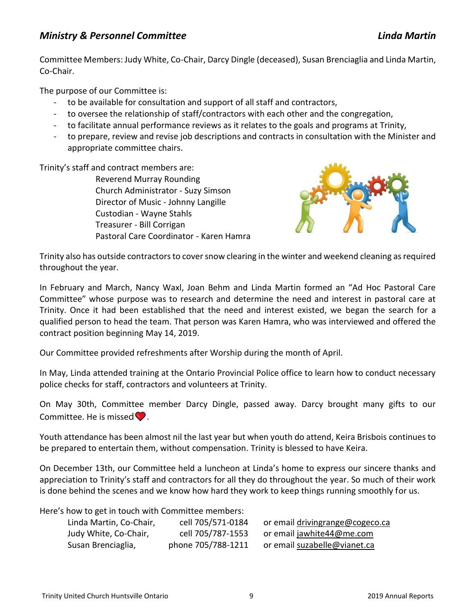### *Ministry & Personnel Committee Linda Martin*

Committee Members: Judy White, Co-Chair, Darcy Dingle (deceased), Susan Brenciaglia and Linda Martin, Co-Chair.

The purpose of our Committee is:

- to be available for consultation and support of all staff and contractors,
- to oversee the relationship of staff/contractors with each other and the congregation,
- to facilitate annual performance reviews as it relates to the goals and programs at Trinity,
- to prepare, review and revise job descriptions and contracts in consultation with the Minister and appropriate committee chairs.

Trinity's staff and contract members are:

Reverend Murray Rounding Church Administrator - Suzy Simson Director of Music - Johnny Langille Custodian - Wayne Stahls Treasurer - Bill Corrigan Pastoral Care Coordinator - Karen Hamra



Trinity also has outside contractors to cover snow clearing in the winter and weekend cleaning as required throughout the year.

In February and March, Nancy Waxl, Joan Behm and Linda Martin formed an "Ad Hoc Pastoral Care Committee" whose purpose was to research and determine the need and interest in pastoral care at Trinity. Once it had been established that the need and interest existed, we began the search for a qualified person to head the team. That person was Karen Hamra, who was interviewed and offered the contract position beginning May 14, 2019.

Our Committee provided refreshments after Worship during the month of April.

In May, Linda attended training at the Ontario Provincial Police office to learn how to conduct necessary police checks for staff, contractors and volunteers at Trinity.

On May 30th, Committee member Darcy Dingle, passed away. Darcy brought many gifts to our Committee. He is missed  $\bullet$ .

Youth attendance has been almost nil the last year but when youth do attend, Keira Brisbois continues to be prepared to entertain them, without compensation. Trinity is blessed to have Keira.

On December 13th, our Committee held a luncheon at Linda's home to express our sincere thanks and appreciation to Trinity's staff and contractors for all they do throughout the year. So much of their work is done behind the scenes and we know how hard they work to keep things running smoothly for us.

Here's how to get in touch with Committee members:

| Linda Martin, Co-Chair, | cell 705/571-0184  | or email drivingrange@cogeco.ca |
|-------------------------|--------------------|---------------------------------|
| Judy White, Co-Chair,   | cell 705/787-1553  | or email jawhite44@me.com       |
| Susan Brenciaglia,      | phone 705/788-1211 | or email suzabelle@vianet.ca    |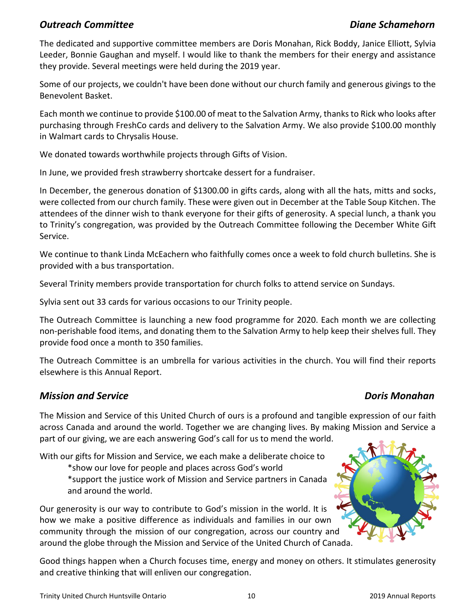### *Outreach Committee Diane Schamehorn*

The dedicated and supportive committee members are Doris Monahan, Rick Boddy, Janice Elliott, Sylvia Leeder, Bonnie Gaughan and myself. I would like to thank the members for their energy and assistance they provide. Several meetings were held during the 2019 year.

Some of our projects, we couldn't have been done without our church family and generous givings to the Benevolent Basket.

Each month we continue to provide \$100.00 of meat to the Salvation Army, thanks to Rick who looks after purchasing through FreshCo cards and delivery to the Salvation Army. We also provide \$100.00 monthly in Walmart cards to Chrysalis House.

We donated towards worthwhile projects through Gifts of Vision.

In June, we provided fresh strawberry shortcake dessert for a fundraiser.

In December, the generous donation of \$1300.00 in gifts cards, along with all the hats, mitts and socks, were collected from our church family. These were given out in December at the Table Soup Kitchen. The attendees of the dinner wish to thank everyone for their gifts of generosity. A special lunch, a thank you to Trinity's congregation, was provided by the Outreach Committee following the December White Gift Service.

We continue to thank Linda McEachern who faithfully comes once a week to fold church bulletins. She is provided with a bus transportation.

Several Trinity members provide transportation for church folks to attend service on Sundays.

Sylvia sent out 33 cards for various occasions to our Trinity people.

The Outreach Committee is launching a new food programme for 2020. Each month we are collecting non-perishable food items, and donating them to the Salvation Army to help keep their shelves full. They provide food once a month to 350 families.

The Outreach Committee is an umbrella for various activities in the church. You will find their reports elsewhere is this Annual Report.

### *Mission and Service Doris Monahan*

The Mission and Service of this United Church of ours is a profound and tangible expression of our faith across Canada and around the world. Together we are changing lives. By making Mission and Service a part of our giving, we are each answering God's call for us to mend the world.

With our gifts for Mission and Service, we each make a deliberate choice to

\*show our love for people and places across God's world

\*support the justice work of Mission and Service partners in Canada and around the world.

Our generosity is our way to contribute to God's mission in the world. It is how we make a positive difference as individuals and families in our own community through the mission of our congregation, across our country and around the globe through the Mission and Service of the United Church of Canada.

Good things happen when a Church focuses time, energy and money on others. It stimulates generosity and creative thinking that will enliven our congregation.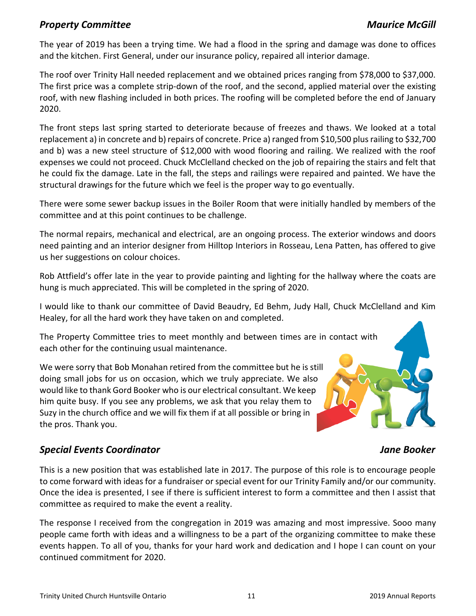### **Property Committee Maurice McGill**

The year of 2019 has been a trying time. We had a flood in the spring and damage was done to offices and the kitchen. First General, under our insurance policy, repaired all interior damage.

The roof over Trinity Hall needed replacement and we obtained prices ranging from \$78,000 to \$37,000. The first price was a complete strip-down of the roof, and the second, applied material over the existing roof, with new flashing included in both prices. The roofing will be completed before the end of January 2020.

The front steps last spring started to deteriorate because of freezes and thaws. We looked at a total replacement a) in concrete and b) repairs of concrete. Price a) ranged from \$10,500 plus railing to \$32,700 and b) was a new steel structure of \$12,000 with wood flooring and railing. We realized with the roof expenses we could not proceed. Chuck McClelland checked on the job of repairing the stairs and felt that he could fix the damage. Late in the fall, the steps and railings were repaired and painted. We have the structural drawings for the future which we feel is the proper way to go eventually.

There were some sewer backup issues in the Boiler Room that were initially handled by members of the committee and at this point continues to be challenge.

The normal repairs, mechanical and electrical, are an ongoing process. The exterior windows and doors need painting and an interior designer from Hilltop Interiors in Rosseau, Lena Patten, has offered to give us her suggestions on colour choices.

Rob Attfield's offer late in the year to provide painting and lighting for the hallway where the coats are hung is much appreciated. This will be completed in the spring of 2020.

I would like to thank our committee of David Beaudry, Ed Behm, Judy Hall, Chuck McClelland and Kim Healey, for all the hard work they have taken on and completed.

The Property Committee tries to meet monthly and between times are in contact with each other for the continuing usual maintenance.

We were sorry that Bob Monahan retired from the committee but he is still doing small jobs for us on occasion, which we truly appreciate. We also would like to thank Gord Booker who is our electrical consultant. We keep him quite busy. If you see any problems, we ask that you relay them to Suzy in the church office and we will fix them if at all possible or bring in the pros. Thank you.

### *Special Events Coordinator Jane Booker*

This is a new position that was established late in 2017. The purpose of this role is to encourage people to come forward with ideas for a fundraiser or special event for our Trinity Family and/or our community. Once the idea is presented, I see if there is sufficient interest to form a committee and then I assist that committee as required to make the event a reality.

The response I received from the congregation in 2019 was amazing and most impressive. Sooo many people came forth with ideas and a willingness to be a part of the organizing committee to make these events happen. To all of you, thanks for your hard work and dedication and I hope I can count on your continued commitment for 2020.

### Trinity United Church Huntsville Ontario 11 2019 Annual Reports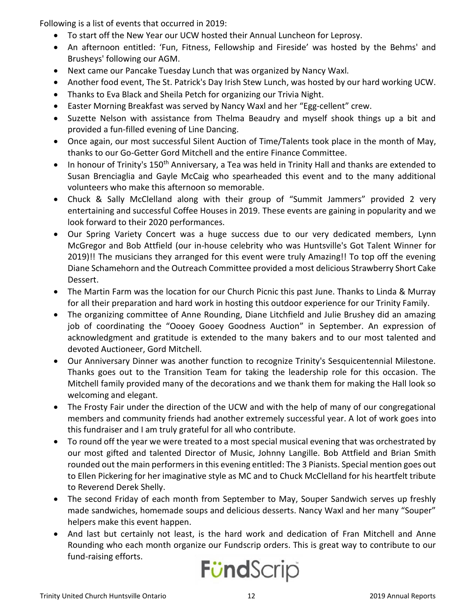Following is a list of events that occurred in 2019:

- To start off the New Year our UCW hosted their Annual Luncheon for Leprosy.
- An afternoon entitled: 'Fun, Fitness, Fellowship and Fireside' was hosted by the Behms' and Brusheys' following our AGM.
- Next came our Pancake Tuesday Lunch that was organized by Nancy Waxl.
- Another food event, The St. Patrick's Day Irish Stew Lunch, was hosted by our hard working UCW.
- Thanks to Eva Black and Sheila Petch for organizing our Trivia Night.
- Easter Morning Breakfast was served by Nancy Waxl and her "Egg-cellent" crew.
- Suzette Nelson with assistance from Thelma Beaudry and myself shook things up a bit and provided a fun-filled evening of Line Dancing.
- Once again, our most successful Silent Auction of Time/Talents took place in the month of May, thanks to our Go-Getter Gord Mitchell and the entire Finance Committee.
- In honour of Trinity's 150<sup>th</sup> Anniversary, a Tea was held in Trinity Hall and thanks are extended to Susan Brenciaglia and Gayle McCaig who spearheaded this event and to the many additional volunteers who make this afternoon so memorable.
- Chuck & Sally McClelland along with their group of "Summit Jammers" provided 2 very entertaining and successful Coffee Houses in 2019. These events are gaining in popularity and we look forward to their 2020 performances.
- Our Spring Variety Concert was a huge success due to our very dedicated members, Lynn McGregor and Bob Attfield (our in-house celebrity who was Huntsville's Got Talent Winner for 2019)!! The musicians they arranged for this event were truly Amazing!! To top off the evening Diane Schamehorn and the Outreach Committee provided a most delicious Strawberry Short Cake Dessert.
- The Martin Farm was the location for our Church Picnic this past June. Thanks to Linda & Murray for all their preparation and hard work in hosting this outdoor experience for our Trinity Family.
- The organizing committee of Anne Rounding, Diane Litchfield and Julie Brushey did an amazing job of coordinating the "Oooey Gooey Goodness Auction" in September. An expression of acknowledgment and gratitude is extended to the many bakers and to our most talented and devoted Auctioneer, Gord Mitchell.
- Our Anniversary Dinner was another function to recognize Trinity's Sesquicentennial Milestone. Thanks goes out to the Transition Team for taking the leadership role for this occasion. The Mitchell family provided many of the decorations and we thank them for making the Hall look so welcoming and elegant.
- The Frosty Fair under the direction of the UCW and with the help of many of our congregational members and community friends had another extremely successful year. A lot of work goes into this fundraiser and I am truly grateful for all who contribute.
- To round off the year we were treated to a most special musical evening that was orchestrated by our most gifted and talented Director of Music, Johnny Langille. Bob Attfield and Brian Smith rounded out the main performers in this evening entitled: The 3 Pianists. Special mention goes out to Ellen Pickering for her imaginative style as MC and to Chuck McClelland for his heartfelt tribute to Reverend Derek Shelly.
- The second Friday of each month from September to May, Souper Sandwich serves up freshly made sandwiches, homemade soups and delicious desserts. Nancy Waxl and her many "Souper" helpers make this event happen.
- And last but certainly not least, is the hard work and dedication of Fran Mitchell and Anne Rounding who each month organize our Fundscrip orders. This is great way to contribute to our fund-raising efforts.

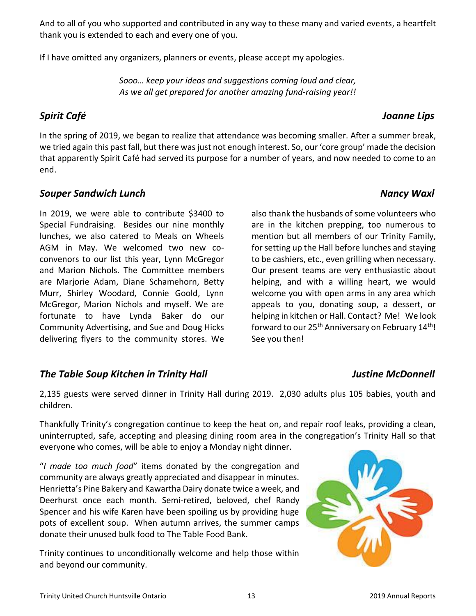And to all of you who supported and contributed in any way to these many and varied events, a heartfelt thank you is extended to each and every one of you.

If I have omitted any organizers, planners or events, please accept my apologies.

*Sooo… keep your ideas and suggestions coming loud and clear, As we all get prepared for another amazing fund-raising year!!*

# *Spirit Café Joanne Lips*

In the spring of 2019, we began to realize that attendance was becoming smaller. After a summer break, we tried again this past fall, but there was just not enough interest. So, our 'core group' made the decision that apparently Spirit Café had served its purpose for a number of years, and now needed to come to an end.

### **Souper Sandwich Lunch Nancy Waxles And According to the United States of the United States And According to Ma**

In 2019, we were able to contribute \$3400 to Special Fundraising. Besides our nine monthly lunches, we also catered to Meals on Wheels AGM in May. We welcomed two new coconvenors to our list this year, Lynn McGregor and Marion Nichols. The Committee members are Marjorie Adam, Diane Schamehorn, Betty Murr, Shirley Woodard, Connie Goold, Lynn McGregor, Marion Nichols and myself. We are fortunate to have Lynda Baker do our Community Advertising, and Sue and Doug Hicks delivering flyers to the community stores. We

# *The Table Soup Kitchen in Trinity Hall Justine McDonnell*

# also thank the husbands of some volunteers who

are in the kitchen prepping, too numerous to mention but all members of our Trinity Family, for setting up the Hall before lunches and staying to be cashiers, etc., even grilling when necessary. Our present teams are very enthusiastic about helping, and with a willing heart, we would welcome you with open arms in any area which appeals to you, donating soup, a dessert, or helping in kitchen or Hall. Contact? Me! We look forward to our 25<sup>th</sup> Anniversary on February 14<sup>th</sup>! See you then!

2,135 guests were served dinner in Trinity Hall during 2019. 2,030 adults plus 105 babies, youth and children.

Thankfully Trinity's congregation continue to keep the heat on, and repair roof leaks, providing a clean, uninterrupted, safe, accepting and pleasing dining room area in the congregation's Trinity Hall so that everyone who comes, will be able to enjoy a Monday night dinner.

"*I made too much food*" items donated by the congregation and community are always greatly appreciated and disappear in minutes. Henrietta's Pine Bakery and Kawartha Dairy donate twice a week, and Deerhurst once each month. Semi-retired, beloved, chef Randy Spencer and his wife Karen have been spoiling us by providing huge pots of excellent soup. When autumn arrives, the summer camps donate their unused bulk food to The Table Food Bank.

Trinity continues to unconditionally welcome and help those within and beyond our community.

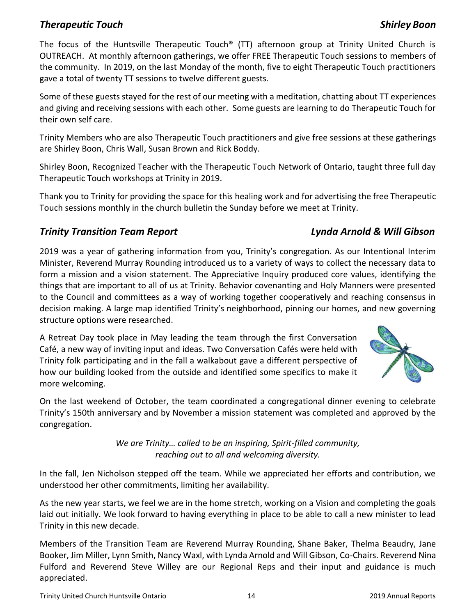# *Therapeutic Touch Shirley Boon*

The focus of the Huntsville Therapeutic Touch® (TT) afternoon group at Trinity United Church is OUTREACH. At monthly afternoon gatherings, we offer FREE Therapeutic Touch sessions to members of the community. In 2019, on the last Monday of the month, five to eight Therapeutic Touch practitioners gave a total of twenty TT sessions to twelve different guests.

Some of these guests stayed for the rest of our meeting with a meditation, chatting about TT experiences and giving and receiving sessions with each other. Some guests are learning to do Therapeutic Touch for their own self care.

Trinity Members who are also Therapeutic Touch practitioners and give free sessions at these gatherings are Shirley Boon, Chris Wall, Susan Brown and Rick Boddy.

Shirley Boon, Recognized Teacher with the Therapeutic Touch Network of Ontario, taught three full day Therapeutic Touch workshops at Trinity in 2019.

Thank you to Trinity for providing the space for this healing work and for advertising the free Therapeutic Touch sessions monthly in the church bulletin the Sunday before we meet at Trinity.

### *Trinity Transition Team Report Lynda Arnold & Will Gibson*

2019 was a year of gathering information from you, Trinity's congregation. As our Intentional Interim Minister, Reverend Murray Rounding introduced us to a variety of ways to collect the necessary data to form a mission and a vision statement. The Appreciative Inquiry produced core values, identifying the things that are important to all of us at Trinity. Behavior covenanting and Holy Manners were presented to the Council and committees as a way of working together cooperatively and reaching consensus in decision making. A large map identified Trinity's neighborhood, pinning our homes, and new governing structure options were researched.

A Retreat Day took place in May leading the team through the first Conversation Café, a new way of inviting input and ideas. Two Conversation Cafés were held with Trinity folk participating and in the fall a walkabout gave a different perspective of how our building looked from the outside and identified some specifics to make it more welcoming.



On the last weekend of October, the team coordinated a congregational dinner evening to celebrate Trinity's 150th anniversary and by November a mission statement was completed and approved by the congregation.

> *We are Trinity… called to be an inspiring, Spirit-filled community, reaching out to all and welcoming diversity.*

In the fall, Jen Nicholson stepped off the team. While we appreciated her efforts and contribution, we understood her other commitments, limiting her availability.

As the new year starts, we feel we are in the home stretch, working on a Vision and completing the goals laid out initially. We look forward to having everything in place to be able to call a new minister to lead Trinity in this new decade.

Members of the Transition Team are Reverend Murray Rounding, Shane Baker, Thelma Beaudry, Jane Booker, Jim Miller, Lynn Smith, Nancy Waxl, with Lynda Arnold and Will Gibson, Co-Chairs. Reverend Nina Fulford and Reverend Steve Willey are our Regional Reps and their input and guidance is much appreciated.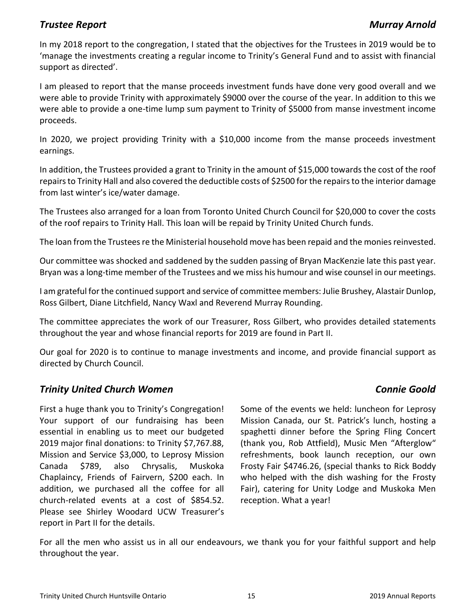### **Trustee Report** Murray Arnold

In my 2018 report to the congregation, I stated that the objectives for the Trustees in 2019 would be to 'manage the investments creating a regular income to Trinity's General Fund and to assist with financial support as directed'.

I am pleased to report that the manse proceeds investment funds have done very good overall and we were able to provide Trinity with approximately \$9000 over the course of the year. In addition to this we were able to provide a one-time lump sum payment to Trinity of \$5000 from manse investment income proceeds.

In 2020, we project providing Trinity with a \$10,000 income from the manse proceeds investment earnings.

In addition, the Trustees provided a grant to Trinity in the amount of \$15,000 towards the cost of the roof repairs to Trinity Hall and also covered the deductible costs of \$2500 for the repairs to the interior damage from last winter's ice/water damage.

The Trustees also arranged for a loan from Toronto United Church Council for \$20,000 to cover the costs of the roof repairs to Trinity Hall. This loan will be repaid by Trinity United Church funds.

The loan from the Trustees re the Ministerial household move has been repaid and the monies reinvested.

Our committee was shocked and saddened by the sudden passing of Bryan MacKenzie late this past year. Bryan was a long-time member of the Trustees and we miss his humour and wise counsel in our meetings.

I am grateful for the continued support and service of committee members: Julie Brushey, Alastair Dunlop, Ross Gilbert, Diane Litchfield, Nancy Waxl and Reverend Murray Rounding.

The committee appreciates the work of our Treasurer, Ross Gilbert, who provides detailed statements throughout the year and whose financial reports for 2019 are found in Part II.

Our goal for 2020 is to continue to manage investments and income, and provide financial support as directed by Church Council.

### *Trinity United Church Women Connie Goold*

First a huge thank you to Trinity's Congregation! Your support of our fundraising has been essential in enabling us to meet our budgeted 2019 major final donations: to Trinity \$7,767.88, Mission and Service \$3,000, to Leprosy Mission Canada \$789, also Chrysalis, Muskoka Chaplaincy, Friends of Fairvern, \$200 each. In addition, we purchased all the coffee for all church-related events at a cost of \$854.52. Please see Shirley Woodard UCW Treasurer's report in Part II for the details.

Some of the events we held: luncheon for Leprosy Mission Canada, our St. Patrick's lunch, hosting a spaghetti dinner before the Spring Fling Concert (thank you, Rob Attfield), Music Men "Afterglow" refreshments, book launch reception, our own Frosty Fair \$4746.26, (special thanks to Rick Boddy who helped with the dish washing for the Frosty Fair), catering for Unity Lodge and Muskoka Men reception. What a year!

For all the men who assist us in all our endeavours, we thank you for your faithful support and help throughout the year.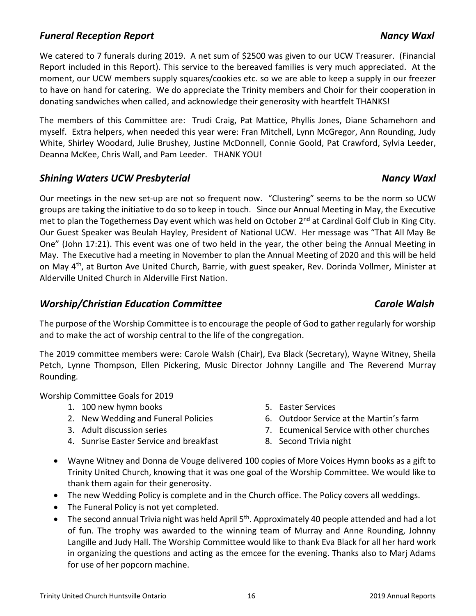### *Funeral Reception Report Nancy Waxl*

We catered to 7 funerals during 2019. A net sum of \$2500 was given to our UCW Treasurer. (Financial Report included in this Report). This service to the bereaved families is very much appreciated. At the moment, our UCW members supply squares/cookies etc. so we are able to keep a supply in our freezer to have on hand for catering. We do appreciate the Trinity members and Choir for their cooperation in donating sandwiches when called, and acknowledge their generosity with heartfelt THANKS!

The members of this Committee are: Trudi Craig, Pat Mattice, Phyllis Jones, Diane Schamehorn and myself. Extra helpers, when needed this year were: Fran Mitchell, Lynn McGregor, Ann Rounding, Judy White, Shirley Woodard, Julie Brushey, Justine McDonnell, Connie Goold, Pat Crawford, Sylvia Leeder, Deanna McKee, Chris Wall, and Pam Leeder. THANK YOU!

### *Shining Waters UCW Presbyterial Nancy Waxl*

Our meetings in the new set-up are not so frequent now. "Clustering" seems to be the norm so UCW groups are taking the initiative to do so to keep in touch. Since our Annual Meeting in May, the Executive met to plan the Togetherness Day event which was held on October 2<sup>nd</sup> at Cardinal Golf Club in King City. Our Guest Speaker was Beulah Hayley, President of National UCW. Her message was "That All May Be One" (John 17:21). This event was one of two held in the year, the other being the Annual Meeting in May. The Executive had a meeting in November to plan the Annual Meeting of 2020 and this will be held on May 4<sup>th</sup>, at Burton Ave United Church, Barrie, with guest speaker, Rev. Dorinda Vollmer, Minister at Alderville United Church in Alderville First Nation.

### *Worship/Christian Education Committee Carole Walsh*

The purpose of the Worship Committee is to encourage the people of God to gather regularly for worship and to make the act of worship central to the life of the congregation.

The 2019 committee members were: Carole Walsh (Chair), Eva Black (Secretary), Wayne Witney, Sheila Petch, Lynne Thompson, Ellen Pickering, Music Director Johnny Langille and The Reverend Murray Rounding.

Worship Committee Goals for 2019

- 1. 100 new hymn books
- 2. New Wedding and Funeral Policies
- 3. Adult discussion series
- 4. Sunrise Easter Service and breakfast
- 5. Easter Services
- 6. Outdoor Service at the Martin's farm
- 7. Ecumenical Service with other churches
- 8. Second Trivia night
- Wayne Witney and Donna de Vouge delivered 100 copies of More Voices Hymn books as a gift to Trinity United Church, knowing that it was one goal of the Worship Committee. We would like to thank them again for their generosity.
- The new Wedding Policy is complete and in the Church office. The Policy covers all weddings.
- The Funeral Policy is not yet completed.
- The second annual Trivia night was held April 5<sup>th</sup>. Approximately 40 people attended and had a lot of fun. The trophy was awarded to the winning team of Murray and Anne Rounding, Johnny Langille and Judy Hall. The Worship Committee would like to thank Eva Black for all her hard work in organizing the questions and acting as the emcee for the evening. Thanks also to Marj Adams for use of her popcorn machine.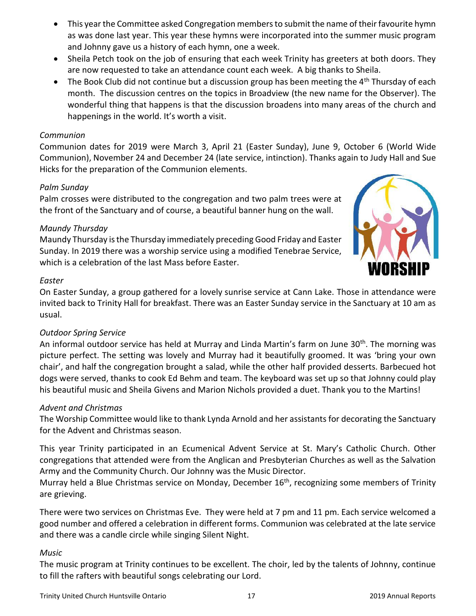- This year the Committee asked Congregation members to submit the name of their favourite hymn as was done last year. This year these hymns were incorporated into the summer music program and Johnny gave us a history of each hymn, one a week.
- Sheila Petch took on the job of ensuring that each week Trinity has greeters at both doors. They are now requested to take an attendance count each week. A big thanks to Sheila.
- The Book Club did not continue but a discussion group has been meeting the 4<sup>th</sup> Thursday of each month. The discussion centres on the topics in Broadview (the new name for the Observer). The wonderful thing that happens is that the discussion broadens into many areas of the church and happenings in the world. It's worth a visit.

### *Communion*

Communion dates for 2019 were March 3, April 21 (Easter Sunday), June 9, October 6 (World Wide Communion), November 24 and December 24 (late service, intinction). Thanks again to Judy Hall and Sue Hicks for the preparation of the Communion elements.

### *Palm Sunday*

Palm crosses were distributed to the congregation and two palm trees were at the front of the Sanctuary and of course, a beautiful banner hung on the wall.

### *Maundy Thursday*

Maundy Thursday is the Thursday immediately preceding Good Friday and Easter Sunday. In 2019 there was a worship service using a modified Tenebrae Service, which is a celebration of the last Mass before Easter.



### *Easter*

On Easter Sunday, a group gathered for a lovely sunrise service at Cann Lake. Those in attendance were invited back to Trinity Hall for breakfast. There was an Easter Sunday service in the Sanctuary at 10 am as usual.

### *Outdoor Spring Service*

An informal outdoor service has held at Murray and Linda Martin's farm on June 30<sup>th</sup>. The morning was picture perfect. The setting was lovely and Murray had it beautifully groomed. It was 'bring your own chair', and half the congregation brought a salad, while the other half provided desserts. Barbecued hot dogs were served, thanks to cook Ed Behm and team. The keyboard was set up so that Johnny could play his beautiful music and Sheila Givens and Marion Nichols provided a duet. Thank you to the Martins!

### *Advent and Christmas*

The Worship Committee would like to thank Lynda Arnold and her assistants for decorating the Sanctuary for the Advent and Christmas season.

This year Trinity participated in an Ecumenical Advent Service at St. Mary's Catholic Church. Other congregations that attended were from the Anglican and Presbyterian Churches as well as the Salvation Army and the Community Church. Our Johnny was the Music Director.

Murray held a Blue Christmas service on Monday, December 16<sup>th</sup>, recognizing some members of Trinity are grieving.

There were two services on Christmas Eve. They were held at 7 pm and 11 pm. Each service welcomed a good number and offered a celebration in different forms. Communion was celebrated at the late service and there was a candle circle while singing Silent Night.

### *Music*

The music program at Trinity continues to be excellent. The choir, led by the talents of Johnny, continue to fill the rafters with beautiful songs celebrating our Lord.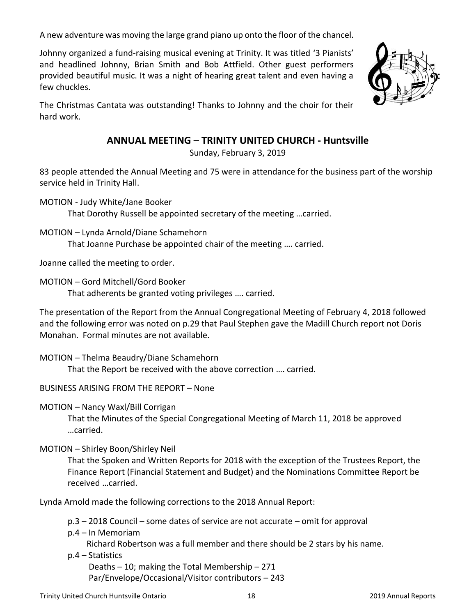A new adventure was moving the large grand piano up onto the floor of the chancel.

Johnny organized a fund-raising musical evening at Trinity. It was titled '3 Pianists' and headlined Johnny, Brian Smith and Bob Attfield. Other guest performers provided beautiful music. It was a night of hearing great talent and even having a few chuckles.

The Christmas Cantata was outstanding! Thanks to Johnny and the choir for their hard work.

# **ANNUAL MEETING – TRINITY UNITED CHURCH - Huntsville**

Sunday, February 3, 2019

83 people attended the Annual Meeting and 75 were in attendance for the business part of the worship service held in Trinity Hall.

MOTION - Judy White/Jane Booker

That Dorothy Russell be appointed secretary of the meeting …carried.

MOTION – Lynda Arnold/Diane Schamehorn That Joanne Purchase be appointed chair of the meeting …. carried.

Joanne called the meeting to order.

MOTION – Gord Mitchell/Gord Booker

That adherents be granted voting privileges …. carried.

The presentation of the Report from the Annual Congregational Meeting of February 4, 2018 followed and the following error was noted on p.29 that Paul Stephen gave the Madill Church report not Doris Monahan. Formal minutes are not available.

MOTION – Thelma Beaudry/Diane Schamehorn

That the Report be received with the above correction …. carried.

BUSINESS ARISING FROM THE REPORT – None

MOTION – Nancy Waxl/Bill Corrigan

That the Minutes of the Special Congregational Meeting of March 11, 2018 be approved …carried.

### MOTION – Shirley Boon/Shirley Neil

That the Spoken and Written Reports for 2018 with the exception of the Trustees Report, the Finance Report (Financial Statement and Budget) and the Nominations Committee Report be received …carried.

Lynda Arnold made the following corrections to the 2018 Annual Report:

p.3 – 2018 Council – some dates of service are not accurate – omit for approval

p.4 – In Memoriam

Richard Robertson was a full member and there should be 2 stars by his name.

p.4 – Statistics

 Deaths – 10; making the Total Membership – 271 Par/Envelope/Occasional/Visitor contributors – 243

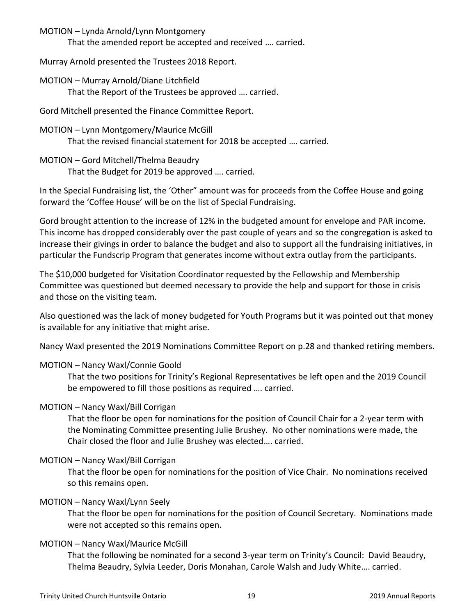MOTION – Lynda Arnold/Lynn Montgomery

That the amended report be accepted and received …. carried.

Murray Arnold presented the Trustees 2018 Report.

MOTION – Murray Arnold/Diane Litchfield That the Report of the Trustees be approved …. carried.

Gord Mitchell presented the Finance Committee Report.

- MOTION Lynn Montgomery/Maurice McGill That the revised financial statement for 2018 be accepted …. carried.
- MOTION Gord Mitchell/Thelma Beaudry That the Budget for 2019 be approved …. carried.

In the Special Fundraising list, the 'Other" amount was for proceeds from the Coffee House and going forward the 'Coffee House' will be on the list of Special Fundraising.

Gord brought attention to the increase of 12% in the budgeted amount for envelope and PAR income. This income has dropped considerably over the past couple of years and so the congregation is asked to increase their givings in order to balance the budget and also to support all the fundraising initiatives, in particular the Fundscrip Program that generates income without extra outlay from the participants.

The \$10,000 budgeted for Visitation Coordinator requested by the Fellowship and Membership Committee was questioned but deemed necessary to provide the help and support for those in crisis and those on the visiting team.

Also questioned was the lack of money budgeted for Youth Programs but it was pointed out that money is available for any initiative that might arise.

Nancy Waxl presented the 2019 Nominations Committee Report on p.28 and thanked retiring members.

### MOTION – Nancy Waxl/Connie Goold

That the two positions for Trinity's Regional Representatives be left open and the 2019 Council be empowered to fill those positions as required …. carried.

### MOTION – Nancy Waxl/Bill Corrigan

That the floor be open for nominations for the position of Council Chair for a 2-year term with the Nominating Committee presenting Julie Brushey. No other nominations were made, the Chair closed the floor and Julie Brushey was elected…. carried.

### MOTION – Nancy Waxl/Bill Corrigan

That the floor be open for nominations for the position of Vice Chair. No nominations received so this remains open.

### MOTION – Nancy Waxl/Lynn Seely

That the floor be open for nominations for the position of Council Secretary. Nominations made were not accepted so this remains open.

### MOTION – Nancy Waxl/Maurice McGill

That the following be nominated for a second 3-year term on Trinity's Council: David Beaudry, Thelma Beaudry, Sylvia Leeder, Doris Monahan, Carole Walsh and Judy White…. carried.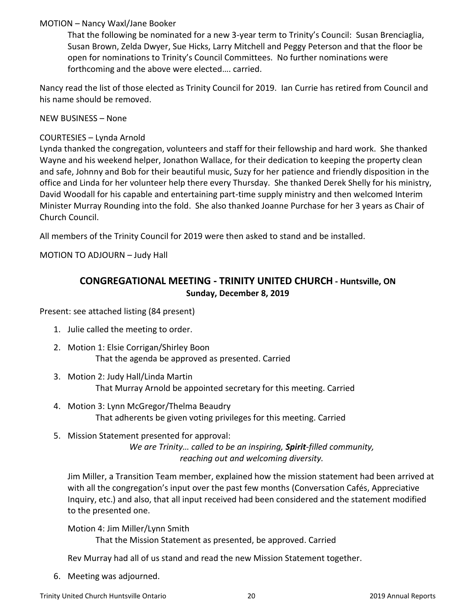### MOTION – Nancy Waxl/Jane Booker

That the following be nominated for a new 3-year term to Trinity's Council: Susan Brenciaglia, Susan Brown, Zelda Dwyer, Sue Hicks, Larry Mitchell and Peggy Peterson and that the floor be open for nominations to Trinity's Council Committees. No further nominations were forthcoming and the above were elected…. carried.

Nancy read the list of those elected as Trinity Council for 2019. Ian Currie has retired from Council and his name should be removed.

NEW BUSINESS – None

### COURTESIES – Lynda Arnold

Lynda thanked the congregation, volunteers and staff for their fellowship and hard work. She thanked Wayne and his weekend helper, Jonathon Wallace, for their dedication to keeping the property clean and safe, Johnny and Bob for their beautiful music, Suzy for her patience and friendly disposition in the office and Linda for her volunteer help there every Thursday. She thanked Derek Shelly for his ministry, David Woodall for his capable and entertaining part-time supply ministry and then welcomed Interim Minister Murray Rounding into the fold. She also thanked Joanne Purchase for her 3 years as Chair of Church Council.

All members of the Trinity Council for 2019 were then asked to stand and be installed.

MOTION TO ADJOURN – Judy Hall

# **CONGREGATIONAL MEETING - TRINITY UNITED CHURCH - Huntsville, ON Sunday, December 8, 2019**

Present: see attached listing (84 present)

- 1. Julie called the meeting to order.
- 2. Motion 1: Elsie Corrigan/Shirley Boon That the agenda be approved as presented. Carried
- 3. Motion 2: Judy Hall/Linda Martin That Murray Arnold be appointed secretary for this meeting. Carried
- 4. Motion 3: Lynn McGregor/Thelma Beaudry That adherents be given voting privileges for this meeting. Carried
- 5. Mission Statement presented for approval: *We are Trinity… called to be an inspiring, Spirit-filled community, reaching out and welcoming diversity.*

Jim Miller, a Transition Team member, explained how the mission statement had been arrived at with all the congregation's input over the past few months (Conversation Cafés, Appreciative Inquiry, etc.) and also, that all input received had been considered and the statement modified to the presented one.

Motion 4: Jim Miller/Lynn Smith

That the Mission Statement as presented, be approved. Carried

Rev Murray had all of us stand and read the new Mission Statement together.

6. Meeting was adjourned.

Trinity United Church Huntsville Ontario 20 2019 Annual Reports